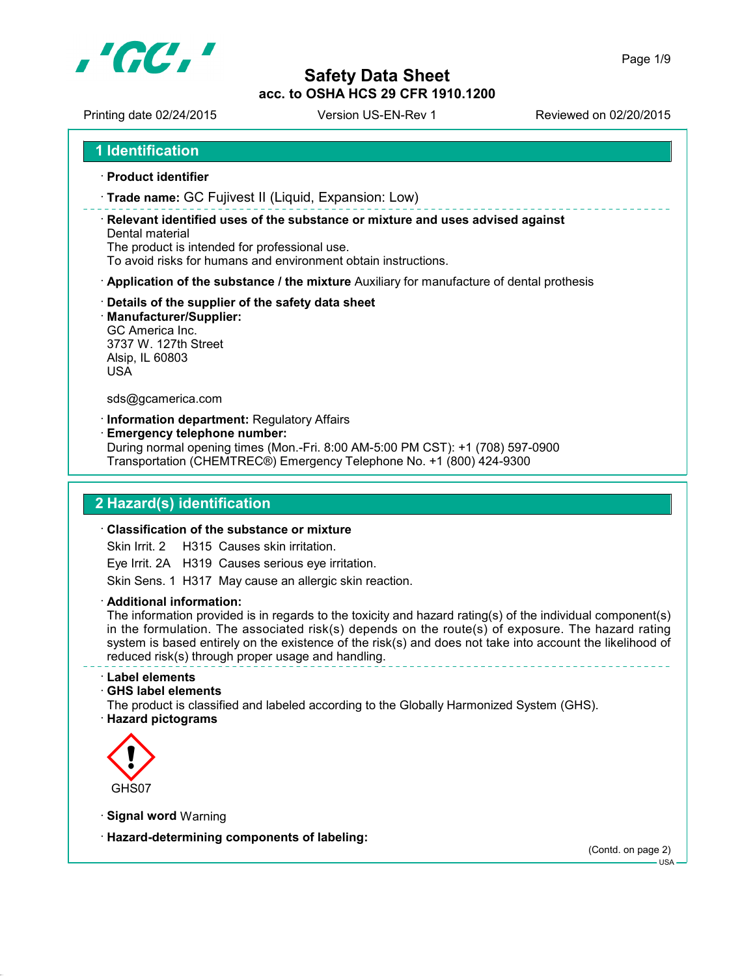

Printing date 02/24/2015 Version US-EN-Rev 1 Reviewed on 02/20/2015

- **Product identifier**
- **Trade name:** GC Fujivest II (Liquid, Expansion: Low)

 **Relevant identified uses of the substance or mixture and uses advised against** Dental material

The product is intended for professional use.

To avoid risks for humans and environment obtain instructions.

- **Application of the substance / the mixture** Auxiliary for manufacture of dental prothesis
- **Details of the supplier of the safety data sheet**
- **Manufacturer/Supplier:**

GC America Inc. 3737 W. 127th Street Alsip, IL 60803 USA

sds@gcamerica.com

**Information department:** Regulatory Affairs

**Emergency telephone number:**

During normal opening times (Mon.-Fri. 8:00 AM-5:00 PM CST): +1 (708) 597-0900 Transportation (CHEMTREC®) Emergency Telephone No. +1 (800) 424-9300

## **2 Hazard(s) identification**

#### **Classification of the substance or mixture**

Skin Irrit. 2 H315 Causes skin irritation.

Eye Irrit. 2A H319 Causes serious eye irritation.

Skin Sens. 1 H317 May cause an allergic skin reaction.

**Additional information:**

The information provided is in regards to the toxicity and hazard rating(s) of the individual component(s) in the formulation. The associated risk(s) depends on the route(s) of exposure. The hazard rating system is based entirely on the existence of the risk(s) and does not take into account the likelihood of reduced risk(s) through proper usage and handling.

- **Label elements**
- **GHS label elements**

The product is classified and labeled according to the Globally Harmonized System (GHS).

**Hazard pictograms**



- **Signal word** Warning
- **Hazard-determining components of labeling:**

(Contd. on page 2)

USA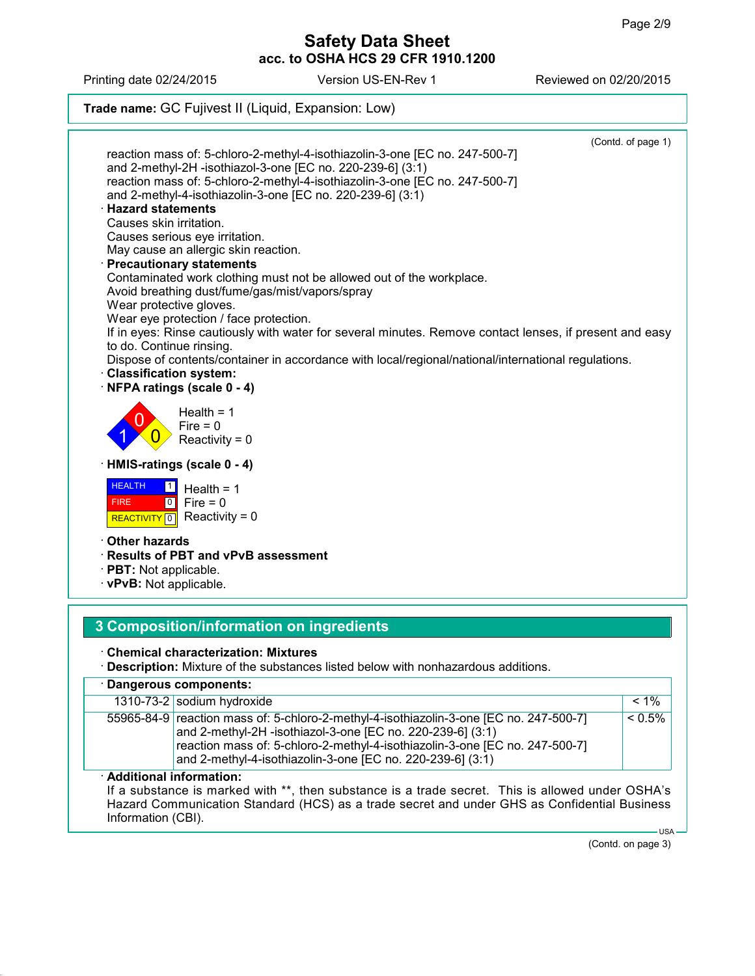Printing date 02/24/2015 Version US-EN-Rev 1 Reviewed on 02/20/2015

**Trade name:** GC Fujivest II (Liquid, Expansion: Low)



| Additional information: |                                                                                                                                           |           |  |  |
|-------------------------|-------------------------------------------------------------------------------------------------------------------------------------------|-----------|--|--|
|                         | reaction mass of: 5-chloro-2-methyl-4-isothiazolin-3-one [EC no. 247-500-7]<br>and 2-methyl-4-isothiazolin-3-one [EC no. 220-239-6] (3:1) |           |  |  |
|                         | and 2-methyl-2H -isothiazol-3-one [EC no. 220-239-6] (3:1)                                                                                |           |  |  |
|                         | 55965-84-9   reaction mass of: 5-chloro-2-methyl-4-isothiazolin-3-one [EC no. 247-500-7]                                                  | $< 0.5\%$ |  |  |
|                         | 1310-73-21 Sodium hydroxide                                                                                                               | $< 1\%$   |  |  |

#### **Additional information:**

If a substance is marked with \*\*, then substance is a trade secret. This is allowed under OSHA's Hazard Communication Standard (HCS) as a trade secret and under GHS as Confidential Business Information (CBI).  $-LISA$ 

(Contd. on page 3)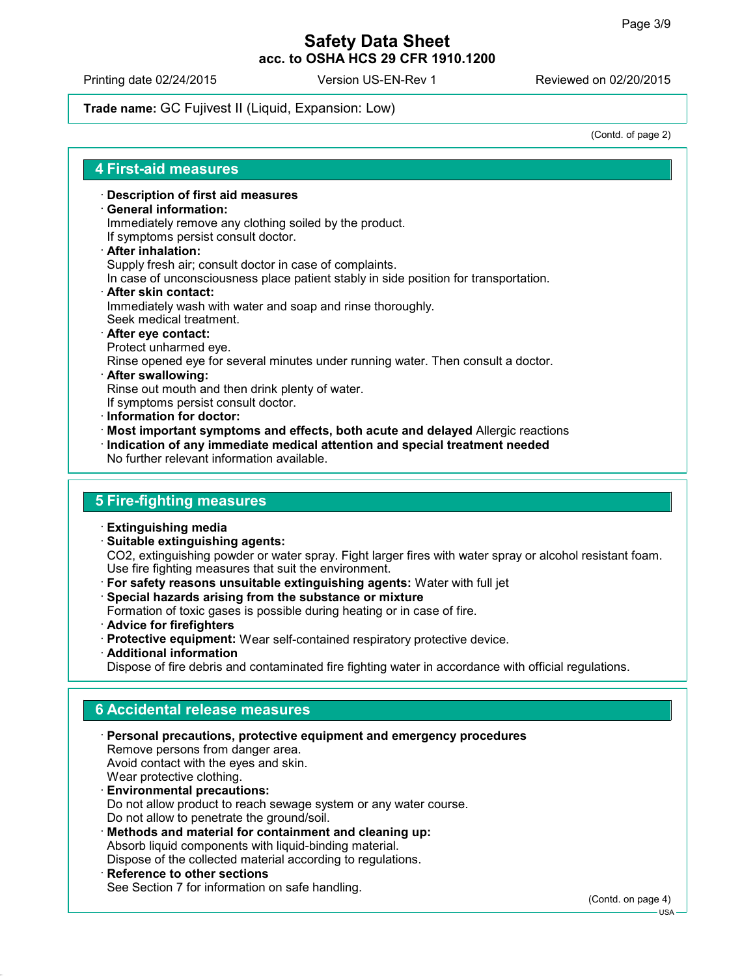Printing date 02/24/2015 Version US-EN-Rev 1 Reviewed on 02/20/2015

**Trade name:** GC Fujivest II (Liquid, Expansion: Low)

(Contd. of page 2)

### **4 First-aid measures**

**Description of first aid measures**

### **General information:**

Immediately remove any clothing soiled by the product.

- If symptoms persist consult doctor.
- **After inhalation:** Supply fresh air; consult doctor in case of complaints. In case of unconsciousness place patient stably in side position for transportation.
- **After skin contact:** Immediately wash with water and soap and rinse thoroughly. Seek medical treatment.
- **After eye contact:** Protect unharmed eye. Rinse opened eye for several minutes under running water. Then consult a doctor. **After swallowing:**
- Rinse out mouth and then drink plenty of water.
- If symptoms persist consult doctor.
- **Information for doctor:**
- **Most important symptoms and effects, both acute and delayed** Allergic reactions
- **Indication of any immediate medical attention and special treatment needed** No further relevant information available.

## **5 Fire-fighting measures**

- **Extinguishing media**
- **Suitable extinguishing agents:**

CO2, extinguishing powder or water spray. Fight larger fires with water spray or alcohol resistant foam. Use fire fighting measures that suit the environment.

- **For safety reasons unsuitable extinguishing agents:** Water with full jet
- **Special hazards arising from the substance or mixture** Formation of toxic gases is possible during heating or in case of fire.
- **Advice for firefighters**
- **Protective equipment:** Wear self-contained respiratory protective device.
- **Additional information**

Dispose of fire debris and contaminated fire fighting water in accordance with official regulations.

## **6 Accidental release measures**

- **Personal precautions, protective equipment and emergency procedures** Remove persons from danger area. Avoid contact with the eyes and skin. Wear protective clothing. **Environmental precautions:** Do not allow product to reach sewage system or any water course. Do not allow to penetrate the ground/soil.
- **Methods and material for containment and cleaning up:** Absorb liquid components with liquid-binding material. Dispose of the collected material according to regulations.
- **Reference to other sections** See Section 7 for information on safe handling.

(Contd. on page 4)

USA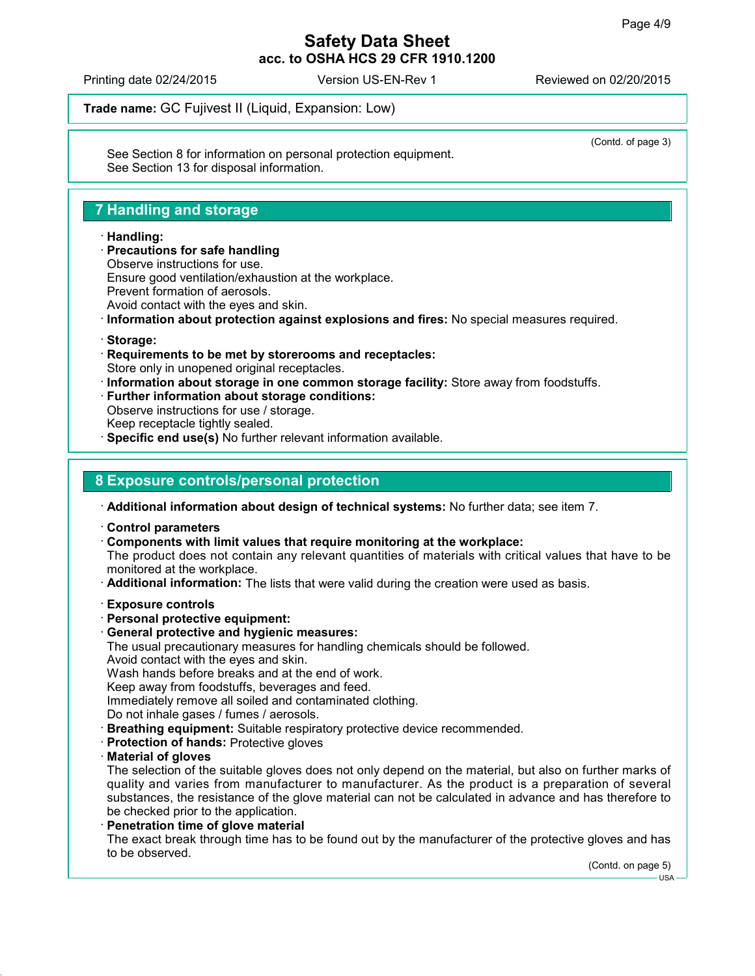(Contd. of page 3)

## **Safety Data Sheet acc. to OSHA HCS 29 CFR 1910.1200**

Printing date 02/24/2015 Version US-EN-Rev 1 Reviewed on 02/20/2015

**Trade name:** GC Fujivest II (Liquid, Expansion: Low)

See Section 8 for information on personal protection equipment. See Section 13 for disposal information.

# **7 Handling and storage**

### **Handling:**

 **Precautions for safe handling** Observe instructions for use. Ensure good ventilation/exhaustion at the workplace. Prevent formation of aerosols. Avoid contact with the eyes and skin.

**Information about protection against explosions and fires:** No special measures required.

- **Storage:**
- **Requirements to be met by storerooms and receptacles:** Store only in unopened original receptacles.
- **Information about storage in one common storage facility:** Store away from foodstuffs.
- **Further information about storage conditions:**
- Observe instructions for use / storage.
- Keep receptacle tightly sealed.
- **Specific end use(s)** No further relevant information available.

## **8 Exposure controls/personal protection**

**Additional information about design of technical systems:** No further data; see item 7.

- **Control parameters**
- **Components with limit values that require monitoring at the workplace:**

The product does not contain any relevant quantities of materials with critical values that have to be monitored at the workplace.

- **Additional information:** The lists that were valid during the creation were used as basis.
- **Exposure controls**
- **Personal protective equipment:**
- **General protective and hygienic measures:**

The usual precautionary measures for handling chemicals should be followed.

Avoid contact with the eyes and skin.

Wash hands before breaks and at the end of work.

Keep away from foodstuffs, beverages and feed.

Immediately remove all soiled and contaminated clothing.

- Do not inhale gases / fumes / aerosols.
- **Breathing equipment:** Suitable respiratory protective device recommended.
- **Protection of hands:** Protective gloves
- **Material of gloves**

The selection of the suitable gloves does not only depend on the material, but also on further marks of quality and varies from manufacturer to manufacturer. As the product is a preparation of several substances, the resistance of the glove material can not be calculated in advance and has therefore to be checked prior to the application.

**Penetration time of glove material**

The exact break through time has to be found out by the manufacturer of the protective gloves and has to be observed.

(Contd. on page 5)

 $-LISA$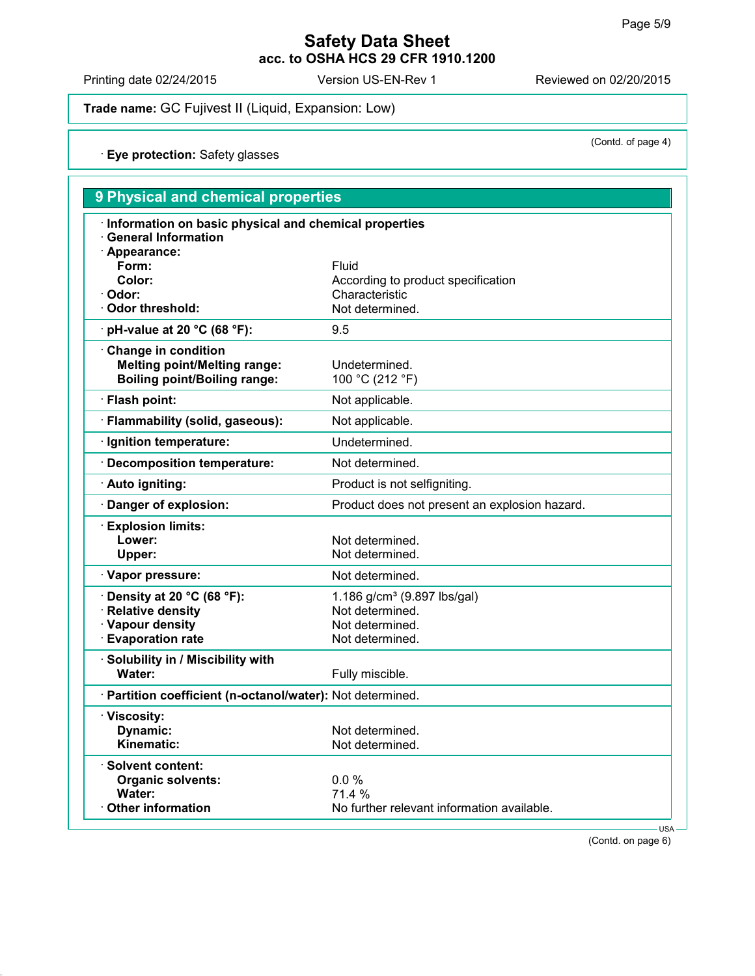(Contd. of page 4)

## **Safety Data Sheet acc. to OSHA HCS 29 CFR 1910.1200**

Printing date 02/24/2015 Version US-EN-Rev 1 Reviewed on 02/20/2015

**Trade name:** GC Fujivest II (Liquid, Expansion: Low)

**Eye protection:** Safety glasses

| 9 Physical and chemical properties                                                                           |                                               |  |  |  |
|--------------------------------------------------------------------------------------------------------------|-----------------------------------------------|--|--|--|
| · Information on basic physical and chemical properties<br><b>General Information</b><br>$\cdot$ Appearance: |                                               |  |  |  |
| Form:                                                                                                        | Fluid                                         |  |  |  |
| Color:                                                                                                       | According to product specification            |  |  |  |
| Odor:                                                                                                        | Characteristic                                |  |  |  |
| <b>Odor threshold:</b>                                                                                       | Not determined.                               |  |  |  |
| $\cdot$ pH-value at 20 °C (68 °F):                                                                           | 9.5                                           |  |  |  |
| Change in condition<br><b>Melting point/Melting range:</b>                                                   | Undetermined.                                 |  |  |  |
| <b>Boiling point/Boiling range:</b>                                                                          | 100 °C (212 °F)                               |  |  |  |
| · Flash point:                                                                                               | Not applicable.                               |  |  |  |
| · Flammability (solid, gaseous):                                                                             | Not applicable.                               |  |  |  |
| · Ignition temperature:                                                                                      | Undetermined.                                 |  |  |  |
| · Decomposition temperature:                                                                                 | Not determined.                               |  |  |  |
| · Auto igniting:                                                                                             | Product is not selfigniting.                  |  |  |  |
| Danger of explosion:                                                                                         | Product does not present an explosion hazard. |  |  |  |
| $\cdot$ Explosion limits:                                                                                    |                                               |  |  |  |
| Lower:                                                                                                       | Not determined.                               |  |  |  |
| Upper:                                                                                                       | Not determined.                               |  |  |  |
| · Vapor pressure:                                                                                            | Not determined.                               |  |  |  |
| $\cdot$ Density at 20 °C (68 °F):                                                                            | 1.186 g/cm <sup>3</sup> (9.897 lbs/gal)       |  |  |  |
| · Relative density                                                                                           | Not determined.                               |  |  |  |
| · Vapour density                                                                                             | Not determined.                               |  |  |  |
| · Evaporation rate                                                                                           | Not determined.                               |  |  |  |
| Solubility in / Miscibility with                                                                             |                                               |  |  |  |
| Water:                                                                                                       | Fully miscible.                               |  |  |  |
| · Partition coefficient (n-octanol/water): Not determined.                                                   |                                               |  |  |  |
| · Viscosity:                                                                                                 |                                               |  |  |  |
| Dynamic:                                                                                                     | Not determined.                               |  |  |  |
| Kinematic:                                                                                                   | Not determined.                               |  |  |  |
| <b>Solvent content:</b>                                                                                      |                                               |  |  |  |
| <b>Organic solvents:</b>                                                                                     | 0.0%                                          |  |  |  |
| Water:                                                                                                       | 71.4 %                                        |  |  |  |
| <b>Other information</b>                                                                                     | No further relevant information available.    |  |  |  |
|                                                                                                              | USA-                                          |  |  |  |

(Contd. on page 6)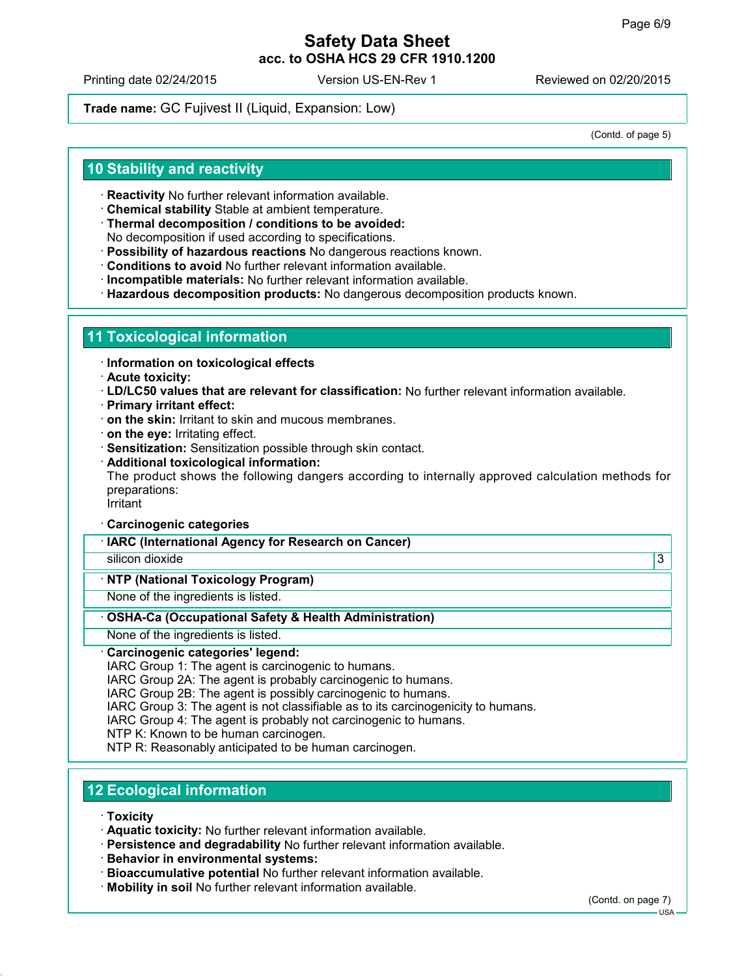Printing date 02/24/2015 Version US-EN-Rev 1 Reviewed on 02/20/2015

**Trade name:** GC Fujivest II (Liquid, Expansion: Low)

(Contd. of page 5)

## **10 Stability and reactivity**

- **Reactivity** No further relevant information available.
- **Chemical stability** Stable at ambient temperature.
- **Thermal decomposition / conditions to be avoided:** No decomposition if used according to specifications.
- **Possibility of hazardous reactions** No dangerous reactions known.
- **Conditions to avoid** No further relevant information available.
- **Incompatible materials:** No further relevant information available.
- **Hazardous decomposition products:** No dangerous decomposition products known.

### **11 Toxicological information**

- **Information on toxicological effects**
- **Acute toxicity:**
- **LD/LC50 values that are relevant for classification:** No further relevant information available.
- **Primary irritant effect:**
- **on the skin:** Irritant to skin and mucous membranes.
- **on the eye:** Irritating effect.
- **Sensitization:** Sensitization possible through skin contact.
- **Additional toxicological information:**

The product shows the following dangers according to internally approved calculation methods for preparations:

**Irritant** 

#### **Carcinogenic categories**

**IARC (International Agency for Research on Cancer)**

silicon dioxide 3

### **NTP (National Toxicology Program)**

None of the ingredients is listed.

#### **OSHA-Ca (Occupational Safety & Health Administration)**

None of the ingredients is listed.

#### **Carcinogenic categories' legend:**

IARC Group 1: The agent is carcinogenic to humans.

IARC Group 2A: The agent is probably carcinogenic to humans.

IARC Group 2B: The agent is possibly carcinogenic to humans.

IARC Group 3: The agent is not classifiable as to its carcinogenicity to humans.

IARC Group 4: The agent is probably not carcinogenic to humans.

NTP K: Known to be human carcinogen.

NTP R: Reasonably anticipated to be human carcinogen.

# **12 Ecological information**

- **Toxicity**
- **Aquatic toxicity:** No further relevant information available.
- **Persistence and degradability** No further relevant information available.
- **Behavior in environmental systems:**
- **Bioaccumulative potential** No further relevant information available.
- **Mobility in soil** No further relevant information available.

(Contd. on page 7)

USA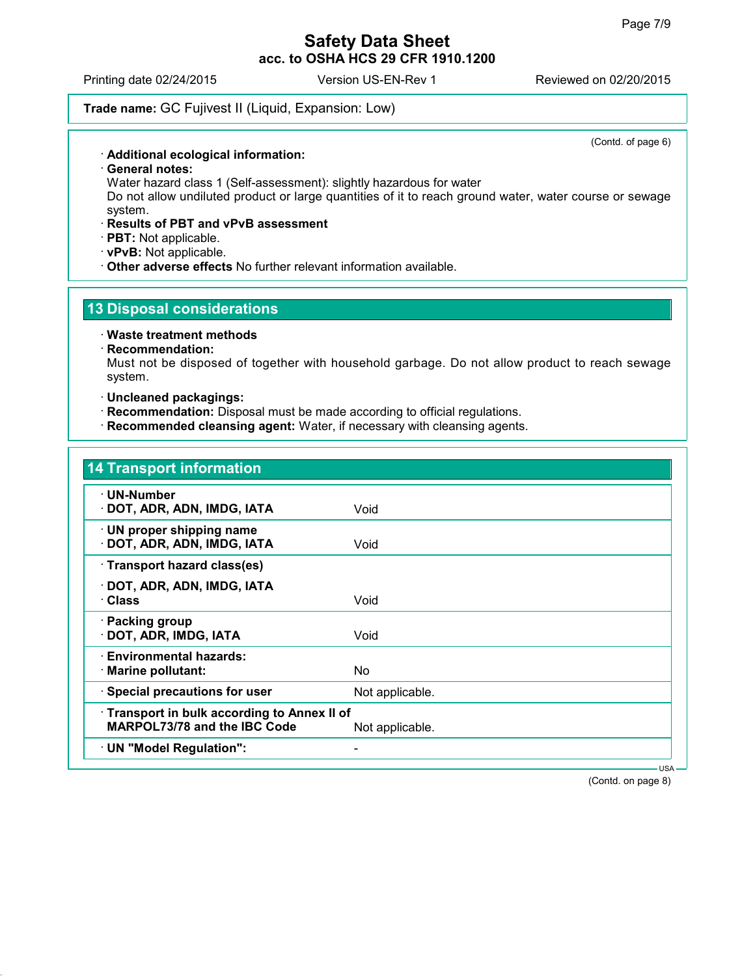Printing date 02/24/2015 Version US-EN-Rev 1 Reviewed on 02/20/2015

### **Trade name:** GC Fujivest II (Liquid, Expansion: Low)

**Additional ecological information:**

**General notes:**

Water hazard class 1 (Self-assessment): slightly hazardous for water

Do not allow undiluted product or large quantities of it to reach ground water, water course or sewage system.

**Results of PBT and vPvB assessment**

**PBT:** Not applicable.

- **vPvB:** Not applicable.
- **Other adverse effects** No further relevant information available.

## **13 Disposal considerations**

**Waste treatment methods**

#### **Recommendation:**

Must not be disposed of together with household garbage. Do not allow product to reach sewage system.

**Uncleaned packagings:**

- **Recommendation:** Disposal must be made according to official regulations.
- **Recommended cleansing agent:** Water, if necessary with cleansing agents.

## **14 Transport information**

| $\mathbf{r}$ Hansport modulation                                           |                 |
|----------------------------------------------------------------------------|-----------------|
| · UN-Number<br>· DOT, ADR, ADN, IMDG, IATA                                 | Void            |
| $\cdot$ UN proper shipping name<br>· DOT, ADR, ADN, IMDG, IATA             | Void            |
| · Transport hazard class(es)                                               |                 |
| · DOT, ADR, ADN, IMDG, IATA<br>· Class                                     | Void            |
| · Packing group<br>· DOT, ADR, IMDG, IATA                                  | Void            |
| · Environmental hazards:<br>$\cdot$ Marine pollutant:                      | No.             |
| · Special precautions for user                                             | Not applicable. |
| Transport in bulk according to Annex II of<br>MARPOL73/78 and the IBC Code | Not applicable. |
| · UN "Model Regulation":                                                   |                 |

(Contd. on page 8)

USA

(Contd. of page 6)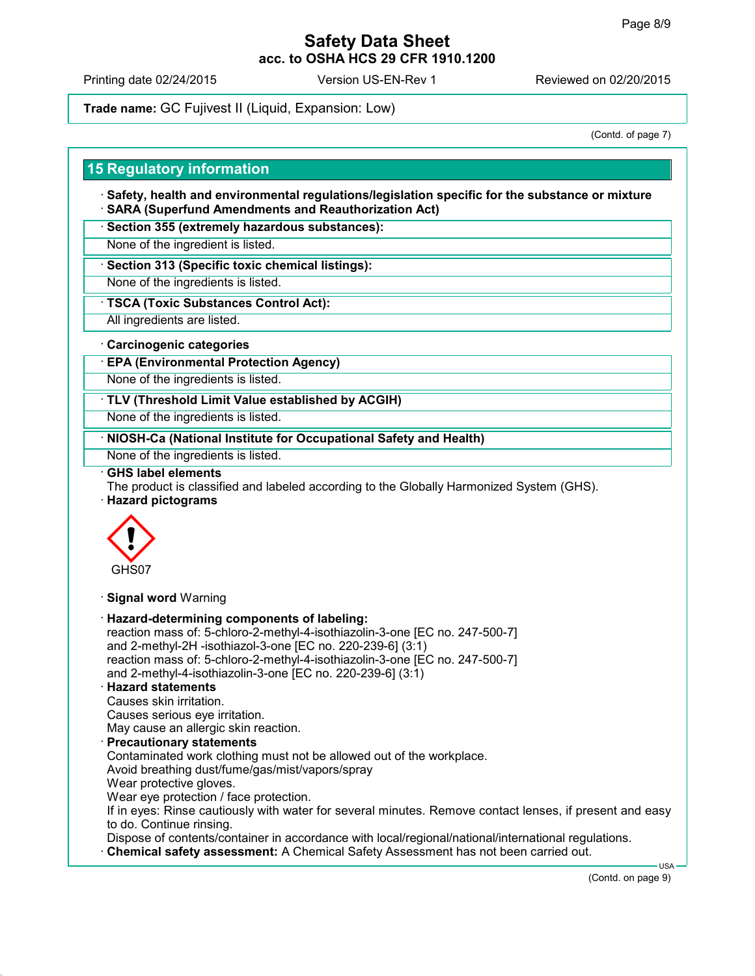Printing date 02/24/2015 Version US-EN-Rev 1 Reviewed on 02/20/2015

**Trade name:** GC Fujivest II (Liquid, Expansion: Low)

(Contd. of page 7)

### **15 Regulatory information**

- **Safety, health and environmental regulations/legislation specific for the substance or mixture SARA (Superfund Amendments and Reauthorization Act)**
- **Section 355 (extremely hazardous substances):**
- None of the ingredient is listed.
- **Section 313 (Specific toxic chemical listings):**
- None of the ingredients is listed.
- **TSCA (Toxic Substances Control Act):**
- All ingredients are listed.
- **Carcinogenic categories**
- **EPA (Environmental Protection Agency)**
- None of the ingredients is listed.
- **TLV (Threshold Limit Value established by ACGIH)**
- None of the ingredients is listed.
- **NIOSH-Ca (National Institute for Occupational Safety and Health)**
- None of the ingredients is listed.
- **GHS label elements**
- The product is classified and labeled according to the Globally Harmonized System (GHS).
- **Hazard pictograms**



**Signal word** Warning

 **Hazard-determining components of labeling:** reaction mass of: 5-chloro-2-methyl-4-isothiazolin-3-one [EC no. 247-500-7] and 2-methyl-2H -isothiazol-3-one [EC no. 220-239-6] (3:1) reaction mass of: 5-chloro-2-methyl-4-isothiazolin-3-one [EC no. 247-500-7] and 2-methyl-4-isothiazolin-3-one [EC no. 220-239-6] (3:1) **Hazard statements** Causes skin irritation. Causes serious eye irritation. May cause an allergic skin reaction. **Precautionary statements** Contaminated work clothing must not be allowed out of the workplace. Avoid breathing dust/fume/gas/mist/vapors/spray Wear protective gloves. Wear eye protection / face protection. If in eyes: Rinse cautiously with water for several minutes. Remove contact lenses, if present and easy to do. Continue rinsing. Dispose of contents/container in accordance with local/regional/national/international regulations. **Chemical safety assessment:** A Chemical Safety Assessment has not been carried out. USA

(Contd. on page 9)